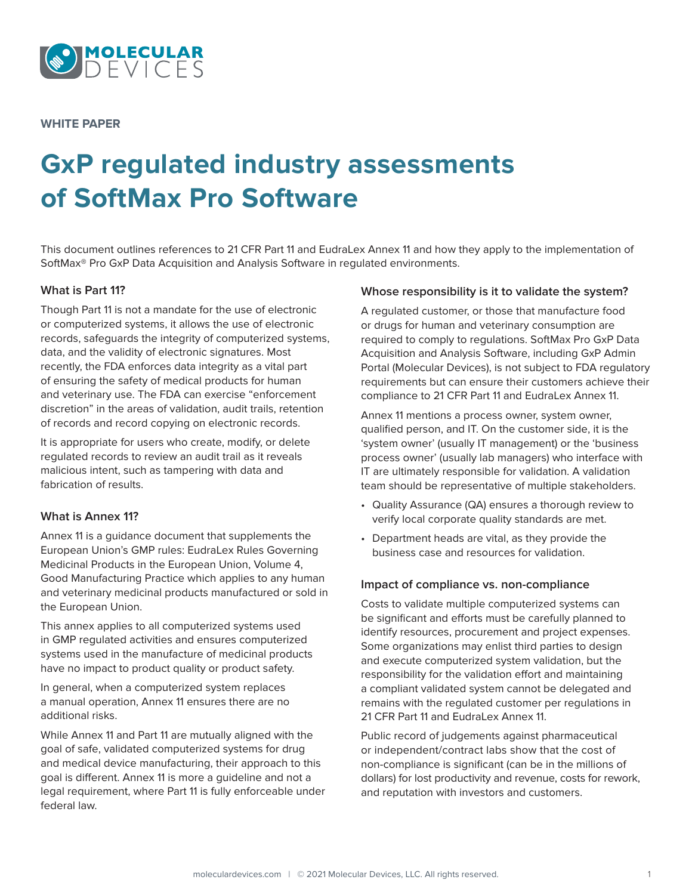

**WHITE PAPER**

# **GxP regulated industry assessments of SoftMax Pro Software**

This document outlines references to 21 CFR Part 11 and EudraLex Annex 11 and how they apply to the implementation of SoftMax® Pro GxP Data Acquisition and Analysis Software in regulated environments.

# **What is Part 11?**

Though Part 11 is not a mandate for the use of electronic or computerized systems, it allows the use of electronic records, safeguards the integrity of computerized systems, data, and the validity of electronic signatures. Most recently, the FDA enforces data integrity as a vital part of ensuring the safety of medical products for human and veterinary use. The FDA can exercise "enforcement discretion" in the areas of validation, audit trails, retention of records and record copying on electronic records.

It is appropriate for users who create, modify, or delete regulated records to review an audit trail as it reveals malicious intent, such as tampering with data and fabrication of results.

## **What is Annex 11?**

Annex 11 is a guidance document that supplements the European Union's GMP rules: EudraLex Rules Governing Medicinal Products in the European Union, Volume 4, Good Manufacturing Practice which applies to any human and veterinary medicinal products manufactured or sold in the European Union.

This annex applies to all computerized systems used in GMP regulated activities and ensures computerized systems used in the manufacture of medicinal products have no impact to product quality or product safety.

In general, when a computerized system replaces a manual operation, Annex 11 ensures there are no additional risks.

While Annex 11 and Part 11 are mutually aligned with the goal of safe, validated computerized systems for drug and medical device manufacturing, their approach to this goal is different. Annex 11 is more a guideline and not a legal requirement, where Part 11 is fully enforceable under federal law.

## **Whose responsibility is it to validate the system?**

A regulated customer, or those that manufacture food or drugs for human and veterinary consumption are required to comply to regulations. SoftMax Pro GxP Data Acquisition and Analysis Software, including GxP Admin Portal (Molecular Devices), is not subject to FDA regulatory requirements but can ensure their customers achieve their compliance to 21 CFR Part 11 and EudraLex Annex 11.

Annex 11 mentions a process owner, system owner, qualified person, and IT. On the customer side, it is the 'system owner' (usually IT management) or the 'business process owner' (usually lab managers) who interface with IT are ultimately responsible for validation. A validation team should be representative of multiple stakeholders.

- Quality Assurance (QA) ensures a thorough review to verify local corporate quality standards are met.
- Department heads are vital, as they provide the business case and resources for validation.

## **Impact of compliance vs. non-compliance**

Costs to validate multiple computerized systems can be significant and efforts must be carefully planned to identify resources, procurement and project expenses. Some organizations may enlist third parties to design and execute computerized system validation, but the responsibility for the validation effort and maintaining a compliant validated system cannot be delegated and remains with the regulated customer per regulations in 21 CFR Part 11 and EudraLex Annex 11.

Public record of judgements against pharmaceutical or independent/contract labs show that the cost of non-compliance is significant (can be in the millions of dollars) for lost productivity and revenue, costs for rework, and reputation with investors and customers.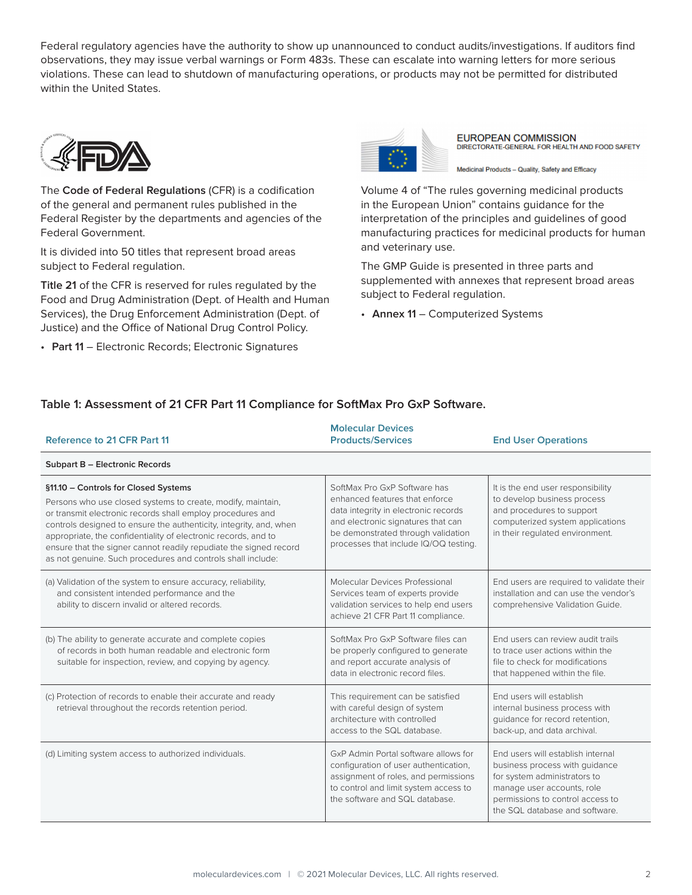Federal regulatory agencies have the authority to show up unannounced to conduct audits/investigations. If auditors find observations, they may issue verbal warnings or Form 483s. These can escalate into warning letters for more serious violations. These can lead to shutdown of manufacturing operations, or products may not be permitted for distributed within the United States.



The **Code of Federal Regulations** (CFR) is a codification of the general and permanent rules published in the Federal Register by the departments and agencies of the Federal Government.

It is divided into 50 titles that represent broad areas subject to Federal regulation.

**Title 21** of the CFR is reserved for rules regulated by the Food and Drug Administration (Dept. of Health and Human Services), the Drug Enforcement Administration (Dept. of Justice) and the Office of National Drug Control Policy.

• **Part 11** – Electronic Records; Electronic Signatures



**EUROPEAN COMMISSION** DIRECTORATE-GENERAL FOR HEALTH AND FOOD SAFETY

Medicinal Products - Quality, Safety and Efficacy

Volume 4 of "The rules governing medicinal products in the European Union" contains guidance for the interpretation of the principles and guidelines of good manufacturing practices for medicinal products for human and veterinary use.

The GMP Guide is presented in three parts and supplemented with annexes that represent broad areas subject to Federal regulation.

• **Annex 11** – Computerized Systems

# **Table 1: Assessment of 21 CFR Part 11 Compliance for SoftMax Pro GxP Software.**

| <b>Reference to 21 CFR Part 11</b>                                                                                                                                                                                                                                                                                                                                                                                                            | <b>Molecular Devices</b><br><b>Products/Services</b>                                                                                                                                                                        | <b>End User Operations</b>                                                                                                                                                                              |  |
|-----------------------------------------------------------------------------------------------------------------------------------------------------------------------------------------------------------------------------------------------------------------------------------------------------------------------------------------------------------------------------------------------------------------------------------------------|-----------------------------------------------------------------------------------------------------------------------------------------------------------------------------------------------------------------------------|---------------------------------------------------------------------------------------------------------------------------------------------------------------------------------------------------------|--|
| Subpart B - Electronic Records                                                                                                                                                                                                                                                                                                                                                                                                                |                                                                                                                                                                                                                             |                                                                                                                                                                                                         |  |
| §11.10 - Controls for Closed Systems<br>Persons who use closed systems to create, modify, maintain,<br>or transmit electronic records shall employ procedures and<br>controls designed to ensure the authenticity, integrity, and, when<br>appropriate, the confidentiality of electronic records, and to<br>ensure that the signer cannot readily repudiate the signed record<br>as not genuine. Such procedures and controls shall include: | SoftMax Pro GxP Software has<br>enhanced features that enforce<br>data integrity in electronic records<br>and electronic signatures that can<br>be demonstrated through validation<br>processes that include IQ/OQ testing. | It is the end user responsibility<br>to develop business process<br>and procedures to support<br>computerized system applications<br>in their regulated environment.                                    |  |
| (a) Validation of the system to ensure accuracy, reliability,<br>and consistent intended performance and the<br>ability to discern invalid or altered records.                                                                                                                                                                                                                                                                                | Molecular Devices Professional<br>Services team of experts provide<br>validation services to help end users<br>achieve 21 CFR Part 11 compliance.                                                                           | End users are required to validate their<br>installation and can use the vendor's<br>comprehensive Validation Guide.                                                                                    |  |
| (b) The ability to generate accurate and complete copies<br>of records in both human readable and electronic form<br>suitable for inspection, review, and copying by agency.                                                                                                                                                                                                                                                                  | SoftMax Pro GxP Software files can<br>be properly configured to generate<br>and report accurate analysis of<br>data in electronic record files.                                                                             | End users can review audit trails<br>to trace user actions within the<br>file to check for modifications<br>that happened within the file.                                                              |  |
| (c) Protection of records to enable their accurate and ready<br>retrieval throughout the records retention period.                                                                                                                                                                                                                                                                                                                            | This requirement can be satisfied<br>with careful design of system<br>architecture with controlled<br>access to the SQL database.                                                                                           | End users will establish<br>internal business process with<br>quidance for record retention,<br>back-up, and data archival.                                                                             |  |
| (d) Limiting system access to authorized individuals.                                                                                                                                                                                                                                                                                                                                                                                         | GxP Admin Portal software allows for<br>configuration of user authentication,<br>assignment of roles, and permissions<br>to control and limit system access to<br>the software and SQL database.                            | End users will establish internal<br>business process with guidance<br>for system administrators to<br>manage user accounts, role<br>permissions to control access to<br>the SQL database and software. |  |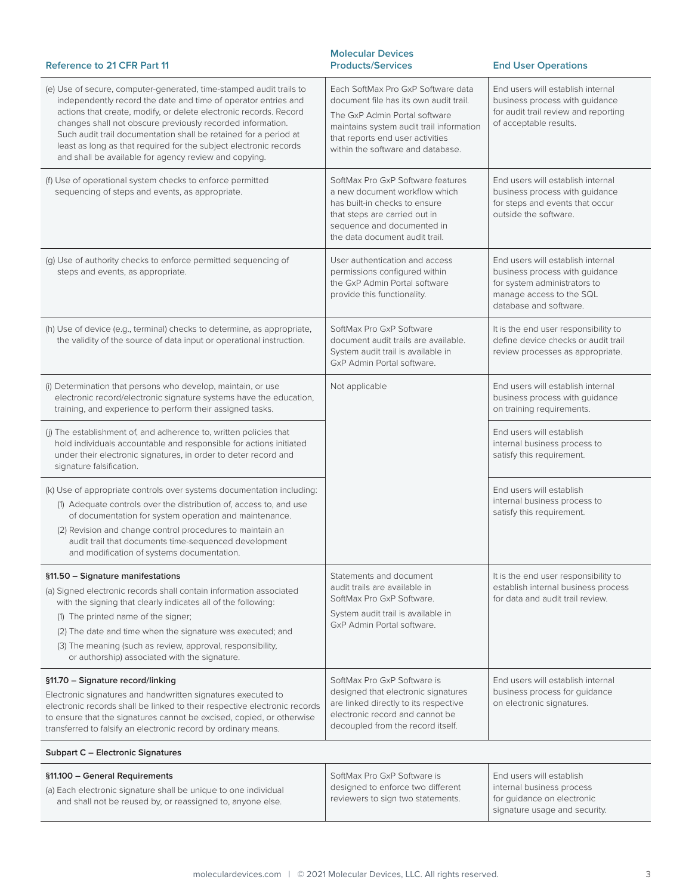| <b>Reference to 21 CFR Part 11</b>                                                                                                                                                                                                                                                                                                                                                                                                                                         | <b>Molecular Devices</b><br><b>Products/Services</b>                                                                                                                                                                               | <b>End User Operations</b>                                                                                                                                |  |  |
|----------------------------------------------------------------------------------------------------------------------------------------------------------------------------------------------------------------------------------------------------------------------------------------------------------------------------------------------------------------------------------------------------------------------------------------------------------------------------|------------------------------------------------------------------------------------------------------------------------------------------------------------------------------------------------------------------------------------|-----------------------------------------------------------------------------------------------------------------------------------------------------------|--|--|
| (e) Use of secure, computer-generated, time-stamped audit trails to<br>independently record the date and time of operator entries and<br>actions that create, modify, or delete electronic records. Record<br>changes shall not obscure previously recorded information.<br>Such audit trail documentation shall be retained for a period at<br>least as long as that required for the subject electronic records<br>and shall be available for agency review and copying. | Each SoftMax Pro GxP Software data<br>document file has its own audit trail.<br>The GxP Admin Portal software<br>maintains system audit trail information<br>that reports end user activities<br>within the software and database. | End users will establish internal<br>business process with guidance<br>for audit trail review and reporting<br>of acceptable results.                     |  |  |
| (f) Use of operational system checks to enforce permitted<br>sequencing of steps and events, as appropriate.                                                                                                                                                                                                                                                                                                                                                               | SoftMax Pro GxP Software features<br>a new document workflow which<br>has built-in checks to ensure<br>that steps are carried out in<br>sequence and documented in<br>the data document audit trail.                               | End users will establish internal<br>business process with guidance<br>for steps and events that occur<br>outside the software.                           |  |  |
| (g) Use of authority checks to enforce permitted sequencing of<br>steps and events, as appropriate.                                                                                                                                                                                                                                                                                                                                                                        | User authentication and access<br>permissions configured within<br>the GxP Admin Portal software<br>provide this functionality.                                                                                                    | End users will establish internal<br>business process with guidance<br>for system administrators to<br>manage access to the SQL<br>database and software. |  |  |
| (h) Use of device (e.g., terminal) checks to determine, as appropriate,<br>the validity of the source of data input or operational instruction.                                                                                                                                                                                                                                                                                                                            | SoftMax Pro GxP Software<br>document audit trails are available.<br>System audit trail is available in<br>GxP Admin Portal software.                                                                                               | It is the end user responsibility to<br>define device checks or audit trail<br>review processes as appropriate.                                           |  |  |
| (i) Determination that persons who develop, maintain, or use<br>electronic record/electronic signature systems have the education,<br>training, and experience to perform their assigned tasks.                                                                                                                                                                                                                                                                            | Not applicable                                                                                                                                                                                                                     | End users will establish internal<br>business process with guidance<br>on training requirements.                                                          |  |  |
| (i) The establishment of, and adherence to, written policies that<br>hold individuals accountable and responsible for actions initiated<br>under their electronic signatures, in order to deter record and<br>signature falsification.                                                                                                                                                                                                                                     |                                                                                                                                                                                                                                    | End users will establish<br>internal business process to<br>satisfy this requirement.                                                                     |  |  |
| (k) Use of appropriate controls over systems documentation including:<br>(1) Adequate controls over the distribution of, access to, and use<br>of documentation for system operation and maintenance.<br>(2) Revision and change control procedures to maintain an<br>audit trail that documents time-sequenced development<br>and modification of systems documentation.                                                                                                  |                                                                                                                                                                                                                                    | End users will establish<br>internal business process to<br>satisfy this requirement.                                                                     |  |  |
| §11.50 - Signature manifestations<br>(a) Signed electronic records shall contain information associated<br>with the signing that clearly indicates all of the following:<br>(1) The printed name of the signer;<br>(2) The date and time when the signature was executed; and<br>(3) The meaning (such as review, approval, responsibility,<br>or authorship) associated with the signature.                                                                               | Statements and document<br>audit trails are available in<br>SoftMax Pro GxP Software.<br>System audit trail is available in<br>GxP Admin Portal software.                                                                          | It is the end user responsibility to<br>establish internal business process<br>for data and audit trail review.                                           |  |  |
| §11.70 - Signature record/linking<br>Electronic signatures and handwritten signatures executed to<br>electronic records shall be linked to their respective electronic records<br>to ensure that the signatures cannot be excised, copied, or otherwise<br>transferred to falsify an electronic record by ordinary means.                                                                                                                                                  | SoftMax Pro GxP Software is<br>designed that electronic signatures<br>are linked directly to its respective<br>electronic record and cannot be<br>decoupled from the record itself.                                                | End users will establish internal<br>business process for guidance<br>on electronic signatures.                                                           |  |  |
| Subpart C - Electronic Signatures                                                                                                                                                                                                                                                                                                                                                                                                                                          |                                                                                                                                                                                                                                    |                                                                                                                                                           |  |  |
| §11.100 - General Requirements<br>(a) Each electronic signature shall be unique to one individual<br>and shall not be reused by, or reassigned to, anyone else.                                                                                                                                                                                                                                                                                                            | SoftMax Pro GxP Software is<br>designed to enforce two different<br>reviewers to sign two statements.                                                                                                                              | End users will establish<br>internal business process<br>for guidance on electronic<br>signature usage and security.                                      |  |  |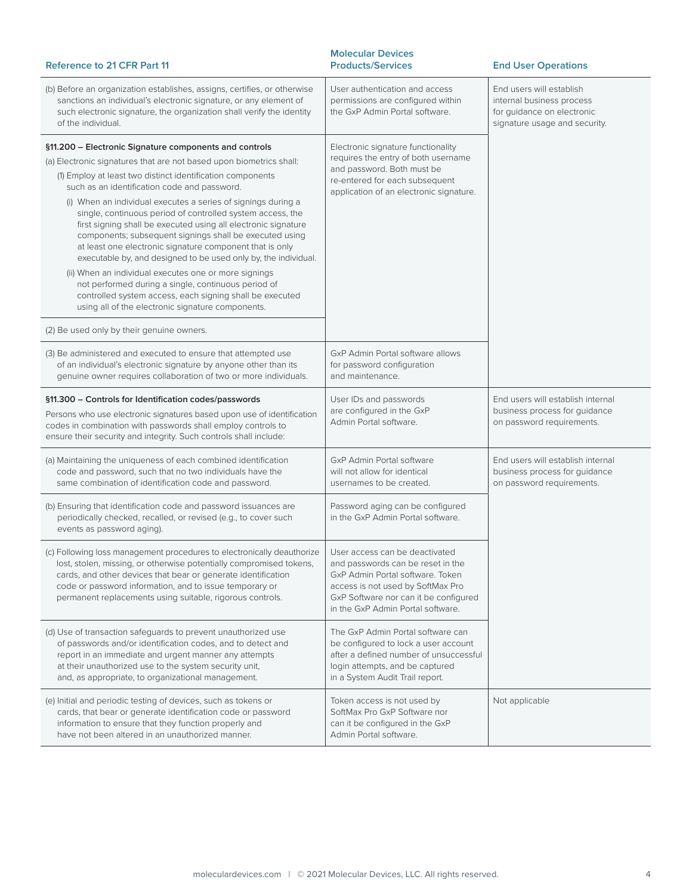| <b>Reference to 21 CFR Part 11</b>                                                                                                                                                                                                                                                                                                                                                                                                                                                                                                                                                                                                                                                                                                                                                                                                                                      | <b>Molecular Devices</b><br><b>Products/Services</b>                                                                                                                                                                       | <b>End User Operations</b>                                                                                           |  |  |
|-------------------------------------------------------------------------------------------------------------------------------------------------------------------------------------------------------------------------------------------------------------------------------------------------------------------------------------------------------------------------------------------------------------------------------------------------------------------------------------------------------------------------------------------------------------------------------------------------------------------------------------------------------------------------------------------------------------------------------------------------------------------------------------------------------------------------------------------------------------------------|----------------------------------------------------------------------------------------------------------------------------------------------------------------------------------------------------------------------------|----------------------------------------------------------------------------------------------------------------------|--|--|
| (b) Before an organization establishes, assigns, certifies, or otherwise<br>sanctions an individual's electronic signature, or any element of<br>such electronic signature, the organization shall verify the identity<br>of the individual.                                                                                                                                                                                                                                                                                                                                                                                                                                                                                                                                                                                                                            | User authentication and access<br>permissions are configured within<br>the GxP Admin Portal software.                                                                                                                      | End users will establish<br>internal business process<br>for quidance on electronic<br>signature usage and security. |  |  |
| §11.200 – Electronic Signature components and controls<br>(a) Electronic signatures that are not based upon biometrics shall:<br>(1) Employ at least two distinct identification components<br>such as an identification code and password.<br>(i) When an individual executes a series of signings during a<br>single, continuous period of controlled system access, the<br>first signing shall be executed using all electronic signature<br>components; subsequent signings shall be executed using<br>at least one electronic signature component that is only<br>executable by, and designed to be used only by, the individual.<br>(ii) When an individual executes one or more signings<br>not performed during a single, continuous period of<br>controlled system access, each signing shall be executed<br>using all of the electronic signature components. | Electronic signature functionality<br>requires the entry of both username<br>and password. Both must be<br>re-entered for each subsequent<br>application of an electronic signature.                                       |                                                                                                                      |  |  |
| (2) Be used only by their genuine owners.<br>(3) Be administered and executed to ensure that attempted use<br>of an individual's electronic signature by anyone other than its<br>genuine owner requires collaboration of two or more individuals.                                                                                                                                                                                                                                                                                                                                                                                                                                                                                                                                                                                                                      | GxP Admin Portal software allows<br>for password configuration<br>and maintenance.                                                                                                                                         |                                                                                                                      |  |  |
| §11.300 - Controls for Identification codes/passwords<br>Persons who use electronic signatures based upon use of identification<br>codes in combination with passwords shall employ controls to<br>ensure their security and integrity. Such controls shall include:                                                                                                                                                                                                                                                                                                                                                                                                                                                                                                                                                                                                    | User IDs and passwords<br>are configured in the GxP<br>Admin Portal software.                                                                                                                                              | End users will establish internal<br>business process for guidance<br>on password requirements.                      |  |  |
| (a) Maintaining the uniqueness of each combined identification<br>code and password, such that no two individuals have the<br>same combination of identification code and password.                                                                                                                                                                                                                                                                                                                                                                                                                                                                                                                                                                                                                                                                                     | GxP Admin Portal software<br>will not allow for identical<br>usernames to be created.                                                                                                                                      | End users will establish internal<br>business process for guidance<br>on password requirements.                      |  |  |
| (b) Ensuring that identification code and password issuances are<br>periodically checked, recalled, or revised (e.g., to cover such<br>events as password aging).                                                                                                                                                                                                                                                                                                                                                                                                                                                                                                                                                                                                                                                                                                       | Password aging can be configured<br>in the GxP Admin Portal software.                                                                                                                                                      |                                                                                                                      |  |  |
| (c) Following loss management procedures to electronically deauthorize<br>lost, stolen, missing, or otherwise potentially compromised tokens,<br>cards, and other devices that bear or generate identification<br>code or password information, and to issue temporary or<br>permanent replacements using suitable, rigorous controls.                                                                                                                                                                                                                                                                                                                                                                                                                                                                                                                                  | User access can be deactivated<br>and passwords can be reset in the<br>GxP Admin Portal software. Token<br>access is not used by SoftMax Pro<br>GxP Software nor can it be configured<br>in the GxP Admin Portal software. |                                                                                                                      |  |  |
| (d) Use of transaction safeguards to prevent unauthorized use<br>of passwords and/or identification codes, and to detect and<br>report in an immediate and urgent manner any attempts<br>at their unauthorized use to the system security unit,<br>and, as appropriate, to organizational management.                                                                                                                                                                                                                                                                                                                                                                                                                                                                                                                                                                   | The GxP Admin Portal software can<br>be configured to lock a user account<br>after a defined number of unsuccessful<br>login attempts, and be captured<br>in a System Audit Trail report.                                  |                                                                                                                      |  |  |
| (e) Initial and periodic testing of devices, such as tokens or<br>cards, that bear or generate identification code or password<br>information to ensure that they function properly and<br>have not been altered in an unauthorized manner.                                                                                                                                                                                                                                                                                                                                                                                                                                                                                                                                                                                                                             | Token access is not used by<br>SoftMax Pro GxP Software nor<br>can it be configured in the GxP<br>Admin Portal software.                                                                                                   | Not applicable                                                                                                       |  |  |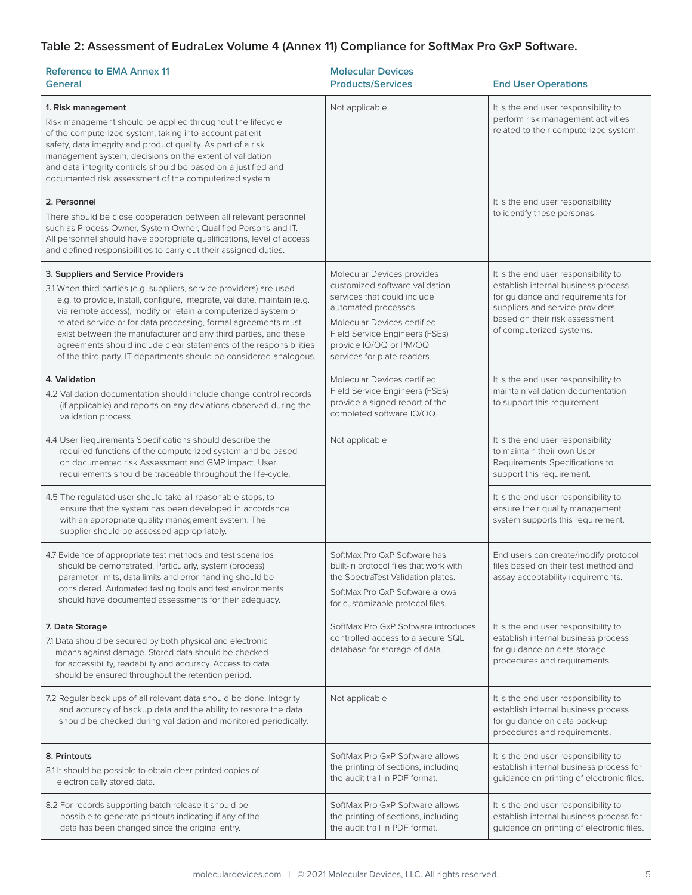# **Table 2: Assessment of EudraLex Volume 4 (Annex 11) Compliance for SoftMax Pro GxP Software.**

| <b>Reference to EMA Annex 11</b><br>General                                                                                                                                                                                                                                                                                                                                                                                                                                                                                             | <b>Molecular Devices</b><br><b>Products/Services</b>                                                                                                                                                                                          | <b>End User Operations</b>                                                                                                                                                                                        |  |  |
|-----------------------------------------------------------------------------------------------------------------------------------------------------------------------------------------------------------------------------------------------------------------------------------------------------------------------------------------------------------------------------------------------------------------------------------------------------------------------------------------------------------------------------------------|-----------------------------------------------------------------------------------------------------------------------------------------------------------------------------------------------------------------------------------------------|-------------------------------------------------------------------------------------------------------------------------------------------------------------------------------------------------------------------|--|--|
| 1. Risk management<br>Risk management should be applied throughout the lifecycle<br>of the computerized system, taking into account patient<br>safety, data integrity and product quality. As part of a risk<br>management system, decisions on the extent of validation<br>and data integrity controls should be based on a justified and<br>documented risk assessment of the computerized system.                                                                                                                                    | Not applicable                                                                                                                                                                                                                                | It is the end user responsibility to<br>perform risk management activities<br>related to their computerized system.                                                                                               |  |  |
| 2. Personnel<br>There should be close cooperation between all relevant personnel<br>such as Process Owner, System Owner, Qualified Persons and IT.<br>All personnel should have appropriate qualifications, level of access<br>and defined responsibilities to carry out their assigned duties.                                                                                                                                                                                                                                         |                                                                                                                                                                                                                                               | It is the end user responsibility<br>to identify these personas.                                                                                                                                                  |  |  |
| 3. Suppliers and Service Providers<br>3.1 When third parties (e.g. suppliers, service providers) are used<br>e.g. to provide, install, configure, integrate, validate, maintain (e.g.<br>via remote access), modify or retain a computerized system or<br>related service or for data processing, formal agreements must<br>exist between the manufacturer and any third parties, and these<br>agreements should include clear statements of the responsibilities<br>of the third party. IT-departments should be considered analogous. | Molecular Devices provides<br>customized software validation<br>services that could include<br>automated processes.<br>Molecular Devices certified<br>Field Service Engineers (FSEs)<br>provide IQ/OQ or PM/OQ<br>services for plate readers. | It is the end user responsibility to<br>establish internal business process<br>for quidance and requirements for<br>suppliers and service providers<br>based on their risk assessment<br>of computerized systems. |  |  |
| 4. Validation<br>4.2 Validation documentation should include change control records<br>(if applicable) and reports on any deviations observed during the<br>validation process.                                                                                                                                                                                                                                                                                                                                                         | Molecular Devices certified<br>Field Service Engineers (FSEs)<br>provide a signed report of the<br>completed software IQ/OQ.                                                                                                                  | It is the end user responsibility to<br>maintain validation documentation<br>to support this requirement.                                                                                                         |  |  |
| 4.4 User Requirements Specifications should describe the<br>required functions of the computerized system and be based<br>on documented risk Assessment and GMP impact. User<br>requirements should be traceable throughout the life-cycle.                                                                                                                                                                                                                                                                                             | Not applicable                                                                                                                                                                                                                                | It is the end user responsibility<br>to maintain their own User<br>Requirements Specifications to<br>support this requirement.                                                                                    |  |  |
| 4.5 The regulated user should take all reasonable steps, to<br>ensure that the system has been developed in accordance<br>with an appropriate quality management system. The<br>supplier should be assessed appropriately.                                                                                                                                                                                                                                                                                                              |                                                                                                                                                                                                                                               | It is the end user responsibility to<br>ensure their quality management<br>system supports this requirement.                                                                                                      |  |  |
| 4.7 Evidence of appropriate test methods and test scenarios<br>should be demonstrated. Particularly, system (process)<br>parameter limits, data limits and error handling should be<br>considered. Automated testing tools and test environments<br>should have documented assessments for their adequacy.                                                                                                                                                                                                                              | SoftMax Pro GxP Software has<br>built-in protocol files that work with<br>the SpectraTest Validation plates.<br>SoftMax Pro GxP Software allows<br>for customizable protocol files.                                                           | End users can create/modify protocol<br>files based on their test method and<br>assay acceptability requirements.                                                                                                 |  |  |
| 7. Data Storage<br>7.1 Data should be secured by both physical and electronic<br>means against damage. Stored data should be checked<br>for accessibility, readability and accuracy. Access to data<br>should be ensured throughout the retention period.                                                                                                                                                                                                                                                                               | SoftMax Pro GxP Software introduces<br>controlled access to a secure SQL<br>database for storage of data.                                                                                                                                     | It is the end user responsibility to<br>establish internal business process<br>for guidance on data storage<br>procedures and requirements.                                                                       |  |  |
| 7.2 Regular back-ups of all relevant data should be done. Integrity<br>and accuracy of backup data and the ability to restore the data<br>should be checked during validation and monitored periodically.                                                                                                                                                                                                                                                                                                                               | Not applicable                                                                                                                                                                                                                                | It is the end user responsibility to<br>establish internal business process<br>for guidance on data back-up<br>procedures and requirements.                                                                       |  |  |
| 8. Printouts<br>8.1 It should be possible to obtain clear printed copies of<br>electronically stored data.                                                                                                                                                                                                                                                                                                                                                                                                                              | SoftMax Pro GxP Software allows<br>the printing of sections, including<br>the audit trail in PDF format.                                                                                                                                      | It is the end user responsibility to<br>establish internal business process for<br>guidance on printing of electronic files.                                                                                      |  |  |
| 8.2 For records supporting batch release it should be<br>possible to generate printouts indicating if any of the<br>data has been changed since the original entry.                                                                                                                                                                                                                                                                                                                                                                     | SoftMax Pro GxP Software allows<br>the printing of sections, including<br>the audit trail in PDF format.                                                                                                                                      | It is the end user responsibility to<br>establish internal business process for<br>guidance on printing of electronic files.                                                                                      |  |  |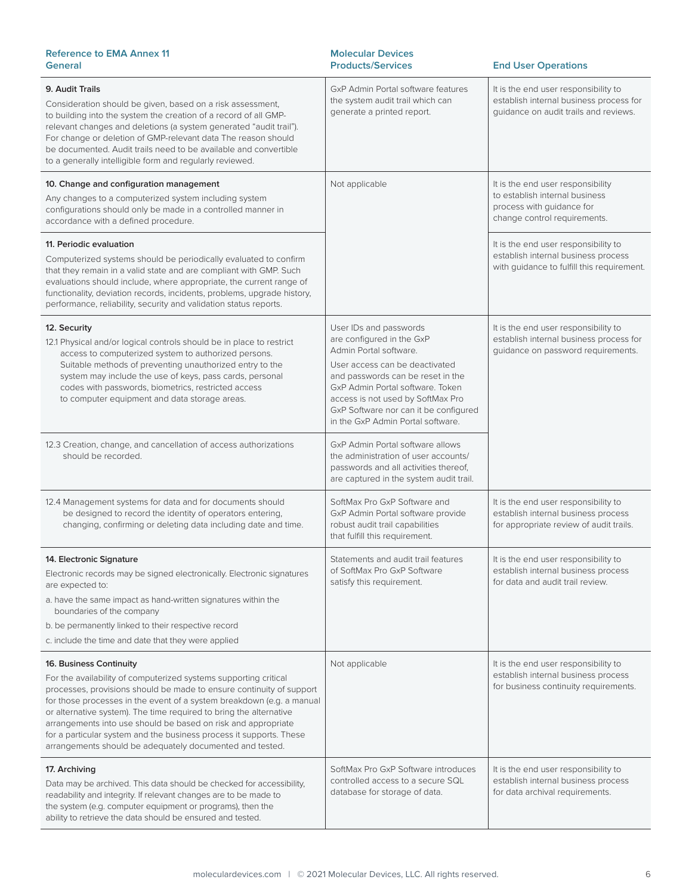| <b>Reference to EMA Annex 11</b><br><b>General</b>                                                                                                                                                                                                                                                                                                                                                                                                                                                                     | <b>Molecular Devices</b><br><b>Products/Services</b>                                                                                                                                                                                                                                                        | <b>End User Operations</b>                                                                                                       |  |
|------------------------------------------------------------------------------------------------------------------------------------------------------------------------------------------------------------------------------------------------------------------------------------------------------------------------------------------------------------------------------------------------------------------------------------------------------------------------------------------------------------------------|-------------------------------------------------------------------------------------------------------------------------------------------------------------------------------------------------------------------------------------------------------------------------------------------------------------|----------------------------------------------------------------------------------------------------------------------------------|--|
| 9. Audit Trails<br>Consideration should be given, based on a risk assessment,<br>to building into the system the creation of a record of all GMP-<br>relevant changes and deletions (a system generated "audit trail").<br>For change or deletion of GMP-relevant data The reason should<br>be documented. Audit trails need to be available and convertible<br>to a generally intelligible form and regularly reviewed.                                                                                               | GxP Admin Portal software features<br>the system audit trail which can<br>generate a printed report.                                                                                                                                                                                                        | It is the end user responsibility to<br>establish internal business process for<br>guidance on audit trails and reviews.         |  |
| 10. Change and configuration management<br>Any changes to a computerized system including system<br>configurations should only be made in a controlled manner in<br>accordance with a defined procedure.                                                                                                                                                                                                                                                                                                               | Not applicable                                                                                                                                                                                                                                                                                              | It is the end user responsibility<br>to establish internal business<br>process with guidance for<br>change control requirements. |  |
| 11. Periodic evaluation<br>Computerized systems should be periodically evaluated to confirm<br>that they remain in a valid state and are compliant with GMP. Such<br>evaluations should include, where appropriate, the current range of<br>functionality, deviation records, incidents, problems, upgrade history,<br>performance, reliability, security and validation status reports.                                                                                                                               |                                                                                                                                                                                                                                                                                                             | It is the end user responsibility to<br>establish internal business process<br>with guidance to fulfill this requirement.        |  |
| 12. Security<br>12.1 Physical and/or logical controls should be in place to restrict<br>access to computerized system to authorized persons.<br>Suitable methods of preventing unauthorized entry to the<br>system may include the use of keys, pass cards, personal<br>codes with passwords, biometrics, restricted access<br>to computer equipment and data storage areas.                                                                                                                                           | User IDs and passwords<br>are configured in the GxP<br>Admin Portal software.<br>User access can be deactivated<br>and passwords can be reset in the<br>GxP Admin Portal software. Token<br>access is not used by SoftMax Pro<br>GxP Software nor can it be configured<br>in the GxP Admin Portal software. | It is the end user responsibility to<br>establish internal business process for<br>guidance on password requirements.            |  |
| 12.3 Creation, change, and cancellation of access authorizations<br>should be recorded.                                                                                                                                                                                                                                                                                                                                                                                                                                | GxP Admin Portal software allows<br>the administration of user accounts/<br>passwords and all activities thereof,<br>are captured in the system audit trail.                                                                                                                                                |                                                                                                                                  |  |
| 12.4 Management systems for data and for documents should<br>be designed to record the identity of operators entering.<br>changing, confirming or deleting data including date and time.                                                                                                                                                                                                                                                                                                                               | SoftMax Pro GxP Software and<br>GxP Admin Portal software provide<br>robust audit trail capabilities<br>that fulfill this requirement.                                                                                                                                                                      | It is the end user responsibility to<br>establish internal business process<br>for appropriate review of audit trails.           |  |
| 14. Electronic Signature<br>Electronic records may be signed electronically. Electronic signatures<br>are expected to:<br>a. have the same impact as hand-written signatures within the<br>boundaries of the company<br>b. be permanently linked to their respective record<br>c. include the time and date that they were applied                                                                                                                                                                                     | Statements and audit trail features<br>of SoftMax Pro GxP Software<br>satisfy this requirement.                                                                                                                                                                                                             | It is the end user responsibility to<br>establish internal business process<br>for data and audit trail review.                  |  |
| 16. Business Continuity<br>For the availability of computerized systems supporting critical<br>processes, provisions should be made to ensure continuity of support<br>for those processes in the event of a system breakdown (e.g. a manual<br>or alternative system). The time required to bring the alternative<br>arrangements into use should be based on risk and appropriate<br>for a particular system and the business process it supports. These<br>arrangements should be adequately documented and tested. | Not applicable                                                                                                                                                                                                                                                                                              | It is the end user responsibility to<br>establish internal business process<br>for business continuity requirements.             |  |
| 17. Archiving<br>Data may be archived. This data should be checked for accessibility,<br>readability and integrity. If relevant changes are to be made to<br>the system (e.g. computer equipment or programs), then the<br>ability to retrieve the data should be ensured and tested.                                                                                                                                                                                                                                  | SoftMax Pro GxP Software introduces<br>controlled access to a secure SQL<br>database for storage of data.                                                                                                                                                                                                   | It is the end user responsibility to<br>establish internal business process<br>for data archival requirements.                   |  |